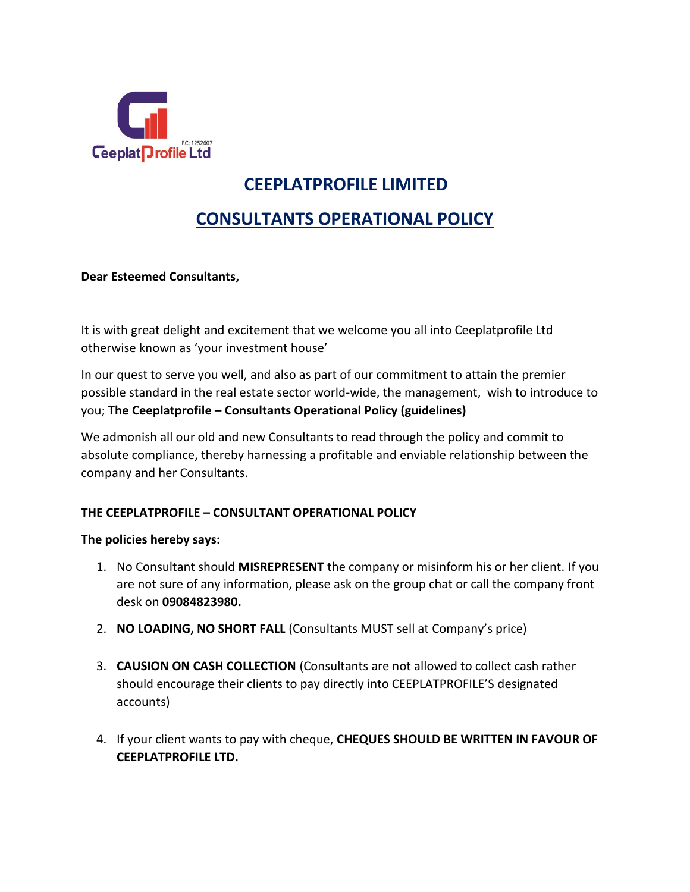

# **CEEPLATPROFILE LIMITED**

## **CONSULTANTS OPERATIONAL POLICY**

### **Dear Esteemed Consultants,**

It is with great delight and excitement that we welcome you all into Ceeplatprofile Ltd otherwise known as 'your investment house'

In our quest to serve you well, and also as part of our commitment to attain the premier possible standard in the real estate sector world-wide, the management, wish to introduce to you; **The Ceeplatprofile – Consultants Operational Policy (guidelines)**

We admonish all our old and new Consultants to read through the policy and commit to absolute compliance, thereby harnessing a profitable and enviable relationship between the company and her Consultants.

### **THE CEEPLATPROFILE – CONSULTANT OPERATIONAL POLICY**

### **The policies hereby says:**

- 1. No Consultant should **MISREPRESENT** the company or misinform his or her client. If you are not sure of any information, please ask on the group chat or call the company front desk on **09084823980.**
- 2. **NO LOADING, NO SHORT FALL** (Consultants MUST sell at Company's price)
- 3. **CAUSION ON CASH COLLECTION** (Consultants are not allowed to collect cash rather should encourage their clients to pay directly into CEEPLATPROFILE'S designated accounts)
- 4. If your client wants to pay with cheque, **CHEQUES SHOULD BE WRITTEN IN FAVOUR OF CEEPLATPROFILE LTD.**